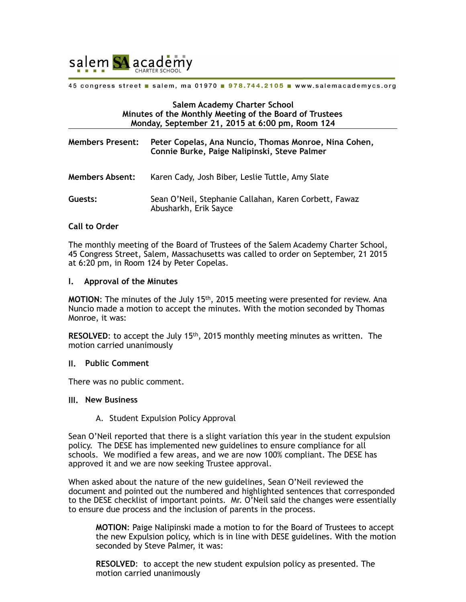

45 congress street a salem, ma 01970 a 978.744.2105 a www.salemacademycs.org

#### **Salem Academy Charter School Minutes of the Monthly Meeting of the Board of Trustees Monday, September 21, 2015 at 6:00 pm, Room 124**

| <b>Members Present:</b> | Peter Copelas, Ana Nuncio, Thomas Monroe, Nina Cohen,<br>Connie Burke, Paige Nalipinski, Steve Palmer |
|-------------------------|-------------------------------------------------------------------------------------------------------|
| <b>Members Absent:</b>  | Karen Cady, Josh Biber, Leslie Tuttle, Amy Slate                                                      |
| Guests:                 | Sean O'Neil, Stephanie Callahan, Karen Corbett, Fawaz<br>Abusharkh, Erik Sayce                        |

## **Call to Order**

The monthly meeting of the Board of Trustees of the Salem Academy Charter School, 45 Congress Street, Salem, Massachusetts was called to order on September, 21 2015 at 6:20 pm, in Room 124 by Peter Copelas.

#### **I. Approval of the Minutes**

**MOTION**: The minutes of the July 15th, 2015 meeting were presented for review. Ana Nuncio made a motion to accept the minutes. With the motion seconded by Thomas Monroe, it was:

**RESOLVED:** to accept the July 15<sup>th</sup>, 2015 monthly meeting minutes as written. The motion carried unanimously

#### **II. Public Comment**

There was no public comment.

## **III. New Business**

A. Student Expulsion Policy Approval

Sean O'Neil reported that there is a slight variation this year in the student expulsion policy. The DESE has implemented new guidelines to ensure compliance for all schools. We modified a few areas, and we are now 100% compliant. The DESE has approved it and we are now seeking Trustee approval.

When asked about the nature of the new guidelines, Sean O'Neil reviewed the document and pointed out the numbered and highlighted sentences that corresponded to the DESE checklist of important points. Mr. O'Neil said the changes were essentially to ensure due process and the inclusion of parents in the process.

**MOTION**: Paige Nalipinski made a motion to for the Board of Trustees to accept the new Expulsion policy, which is in line with DESE guidelines. With the motion seconded by Steve Palmer, it was:

**RESOLVED**: to accept the new student expulsion policy as presented. The motion carried unanimously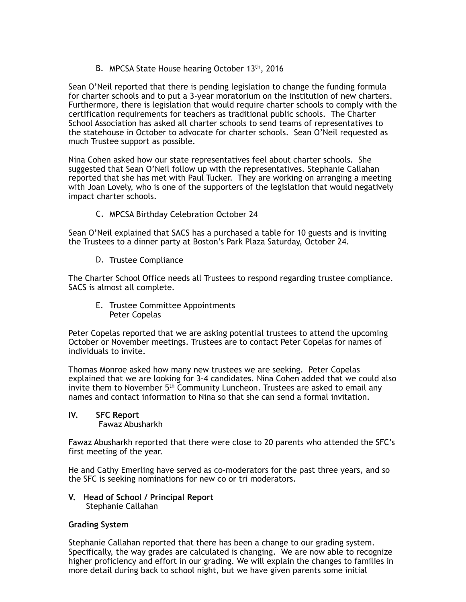B. MPCSA State House hearing October 13<sup>th</sup>, 2016

Sean O'Neil reported that there is pending legislation to change the funding formula for charter schools and to put a 3-year moratorium on the institution of new charters. Furthermore, there is legislation that would require charter schools to comply with the certification requirements for teachers as traditional public schools. The Charter School Association has asked all charter schools to send teams of representatives to the statehouse in October to advocate for charter schools. Sean O'Neil requested as much Trustee support as possible.

Nina Cohen asked how our state representatives feel about charter schools. She suggested that Sean O'Neil follow up with the representatives. Stephanie Callahan reported that she has met with Paul Tucker. They are working on arranging a meeting with Joan Lovely, who is one of the supporters of the legislation that would negatively impact charter schools.

C. MPCSA Birthday Celebration October 24

Sean O'Neil explained that SACS has a purchased a table for 10 guests and is inviting the Trustees to a dinner party at Boston's Park Plaza Saturday, October 24.

D. Trustee Compliance

The Charter School Office needs all Trustees to respond regarding trustee compliance. SACS is almost all complete.

E. Trustee Committee Appointments Peter Copelas

Peter Copelas reported that we are asking potential trustees to attend the upcoming October or November meetings. Trustees are to contact Peter Copelas for names of individuals to invite.

Thomas Monroe asked how many new trustees we are seeking. Peter Copelas explained that we are looking for 3-4 candidates. Nina Cohen added that we could also invite them to November 5<sup>th</sup> Community Luncheon. Trustees are asked to email any names and contact information to Nina so that she can send a formal invitation.

# **IV. SFC Report**

Fawaz Abusharkh

Fawaz Abusharkh reported that there were close to 20 parents who attended the SFC's first meeting of the year.

He and Cathy Emerling have served as co-moderators for the past three years, and so the SFC is seeking nominations for new co or tri moderators.

## **V. Head of School / Principal Report**  Stephanie Callahan

## **Grading System**

Stephanie Callahan reported that there has been a change to our grading system. Specifically, the way grades are calculated is changing. We are now able to recognize higher proficiency and effort in our grading. We will explain the changes to families in more detail during back to school night, but we have given parents some initial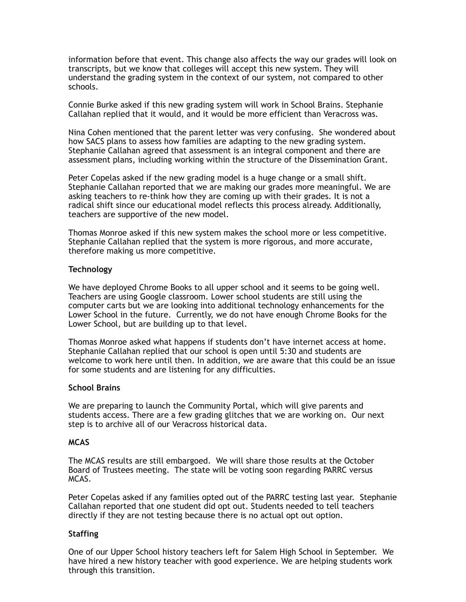information before that event. This change also affects the way our grades will look on transcripts, but we know that colleges will accept this new system. They will understand the grading system in the context of our system, not compared to other schools.

Connie Burke asked if this new grading system will work in School Brains. Stephanie Callahan replied that it would, and it would be more efficient than Veracross was.

Nina Cohen mentioned that the parent letter was very confusing. She wondered about how SACS plans to assess how families are adapting to the new grading system. Stephanie Callahan agreed that assessment is an integral component and there are assessment plans, including working within the structure of the Dissemination Grant.

Peter Copelas asked if the new grading model is a huge change or a small shift. Stephanie Callahan reported that we are making our grades more meaningful. We are asking teachers to re-think how they are coming up with their grades. It is not a radical shift since our educational model reflects this process already. Additionally, teachers are supportive of the new model.

Thomas Monroe asked if this new system makes the school more or less competitive. Stephanie Callahan replied that the system is more rigorous, and more accurate, therefore making us more competitive.

## **Technology**

We have deployed Chrome Books to all upper school and it seems to be going well. Teachers are using Google classroom. Lower school students are still using the computer carts but we are looking into additional technology enhancements for the Lower School in the future. Currently, we do not have enough Chrome Books for the Lower School, but are building up to that level.

Thomas Monroe asked what happens if students don't have internet access at home. Stephanie Callahan replied that our school is open until 5:30 and students are welcome to work here until then. In addition, we are aware that this could be an issue for some students and are listening for any difficulties.

## **School Brains**

We are preparing to launch the Community Portal, which will give parents and students access. There are a few grading glitches that we are working on. Our next step is to archive all of our Veracross historical data.

## **MCAS**

The MCAS results are still embargoed. We will share those results at the October Board of Trustees meeting. The state will be voting soon regarding PARRC versus MCAS.

Peter Copelas asked if any families opted out of the PARRC testing last year. Stephanie Callahan reported that one student did opt out. Students needed to tell teachers directly if they are not testing because there is no actual opt out option.

## **Staffing**

One of our Upper School history teachers left for Salem High School in September. We have hired a new history teacher with good experience. We are helping students work through this transition.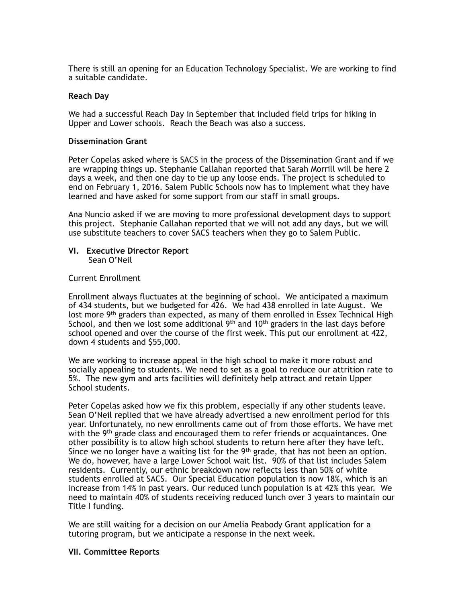There is still an opening for an Education Technology Specialist. We are working to find a suitable candidate.

#### **Reach Day**

We had a successful Reach Day in September that included field trips for hiking in Upper and Lower schools. Reach the Beach was also a success.

#### **Dissemination Grant**

Peter Copelas asked where is SACS in the process of the Dissemination Grant and if we are wrapping things up. Stephanie Callahan reported that Sarah Morrill will be here 2 days a week, and then one day to tie up any loose ends. The project is scheduled to end on February 1, 2016. Salem Public Schools now has to implement what they have learned and have asked for some support from our staff in small groups.

Ana Nuncio asked if we are moving to more professional development days to support this project. Stephanie Callahan reported that we will not add any days, but we will use substitute teachers to cover SACS teachers when they go to Salem Public.

#### **VI. Executive Director Report**  Sean O'Neil

#### Current Enrollment

Enrollment always fluctuates at the beginning of school. We anticipated a maximum of 434 students, but we budgeted for 426. We had 438 enrolled in late August. We lost more  $9<sup>th</sup>$  graders than expected, as many of them enrolled in Essex Technical High School, and then we lost some additional  $9<sup>th</sup>$  and 10<sup>th</sup> graders in the last days before school opened and over the course of the first week. This put our enrollment at 422, down 4 students and \$55,000.

We are working to increase appeal in the high school to make it more robust and socially appealing to students. We need to set as a goal to reduce our attrition rate to 5%. The new gym and arts facilities will definitely help attract and retain Upper School students.

Peter Copelas asked how we fix this problem, especially if any other students leave. Sean O'Neil replied that we have already advertised a new enrollment period for this year. Unfortunately, no new enrollments came out of from those efforts. We have met with the 9<sup>th</sup> grade class and encouraged them to refer friends or acquaintances. One other possibility is to allow high school students to return here after they have left. Since we no longer have a waiting list for the  $9<sup>th</sup>$  grade, that has not been an option. We do, however, have a large Lower School wait list. 90% of that list includes Salem residents. Currently, our ethnic breakdown now reflects less than 50% of white students enrolled at SACS. Our Special Education population is now 18%, which is an increase from 14% in past years. Our reduced lunch population is at 42% this year. We need to maintain 40% of students receiving reduced lunch over 3 years to maintain our Title I funding.

We are still waiting for a decision on our Amelia Peabody Grant application for a tutoring program, but we anticipate a response in the next week.

#### **VII. Committee Reports**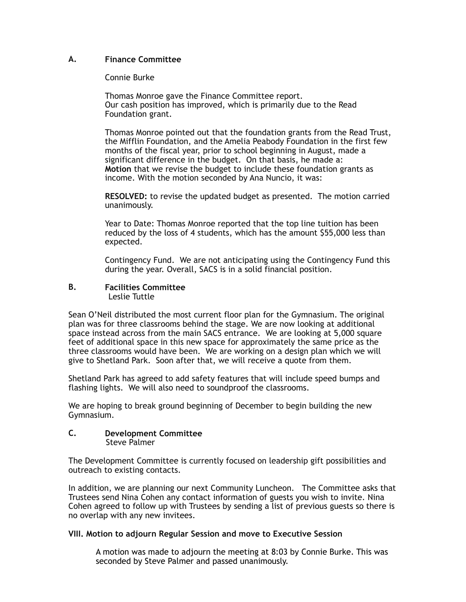## **A. Finance Committee**

## Connie Burke

Thomas Monroe gave the Finance Committee report. Our cash position has improved, which is primarily due to the Read Foundation grant.

Thomas Monroe pointed out that the foundation grants from the Read Trust, the Mifflin Foundation, and the Amelia Peabody Foundation in the first few months of the fiscal year, prior to school beginning in August, made a significant difference in the budget. On that basis, he made a: **Motion** that we revise the budget to include these foundation grants as income. With the motion seconded by Ana Nuncio, it was:

**RESOLVED:** to revise the updated budget as presented. The motion carried unanimously.

Year to Date: Thomas Monroe reported that the top line tuition has been reduced by the loss of 4 students, which has the amount \$55,000 less than expected.

Contingency Fund. We are not anticipating using the Contingency Fund this during the year. Overall, SACS is in a solid financial position.

#### **B. Facilities Committee**  Leslie Tuttle

Sean O'Neil distributed the most current floor plan for the Gymnasium. The original plan was for three classrooms behind the stage. We are now looking at additional space instead across from the main SACS entrance. We are looking at 5,000 square feet of additional space in this new space for approximately the same price as the three classrooms would have been. We are working on a design plan which we will give to Shetland Park. Soon after that, we will receive a quote from them.

Shetland Park has agreed to add safety features that will include speed bumps and flashing lights. We will also need to soundproof the classrooms.

We are hoping to break ground beginning of December to begin building the new Gymnasium.

## **C. Development Committee**  Steve Palmer

The Development Committee is currently focused on leadership gift possibilities and outreach to existing contacts.

In addition, we are planning our next Community Luncheon. The Committee asks that Trustees send Nina Cohen any contact information of guests you wish to invite. Nina Cohen agreed to follow up with Trustees by sending a list of previous guests so there is no overlap with any new invitees.

## **VIII. Motion to adjourn Regular Session and move to Executive Session**

A motion was made to adjourn the meeting at 8:03 by Connie Burke. This was seconded by Steve Palmer and passed unanimously.